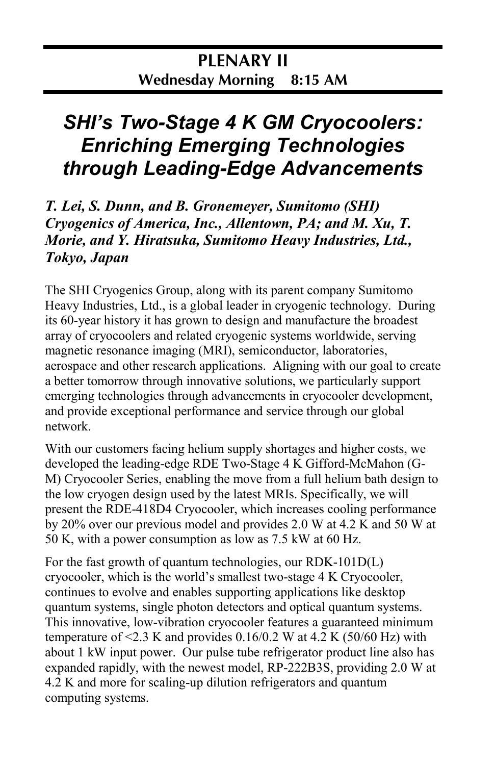## *SHI's Two-Stage 4 K GM Cryocoolers: Enriching Emerging Technologies through Leading-Edge Advancements*

*T. Lei, S. Dunn, and B. Gronemeyer, Sumitomo (SHI) Cryogenics of America, Inc., Allentown, PA; and M. Xu, T. Morie, and Y. Hiratsuka, Sumitomo Heavy Industries, Ltd., Tokyo, Japan*

The SHI Cryogenics Group, along with its parent company Sumitomo Heavy Industries, Ltd., is a global leader in cryogenic technology. During its 60-year history it has grown to design and manufacture the broadest array of cryocoolers and related cryogenic systems worldwide, serving magnetic resonance imaging (MRI), semiconductor, laboratories, aerospace and other research applications. Aligning with our goal to create a better tomorrow through innovative solutions, we particularly support emerging technologies through advancements in cryocooler development, and provide exceptional performance and service through our global network.

With our customers facing helium supply shortages and higher costs, we developed the leading-edge RDE Two-Stage 4 K Gifford-McMahon (G-M) Cryocooler Series, enabling the move from a full helium bath design to the low cryogen design used by the latest MRIs. Specifically, we will present the RDE-418D4 Cryocooler, which increases cooling performance by 20% over our previous model and provides 2.0 W at 4.2 K and 50 W at 50 K, with a power consumption as low as 7.5 kW at 60 Hz.

For the fast growth of quantum technologies, our RDK-101D(L) cryocooler, which is the world's smallest two-stage 4 K Cryocooler, continues to evolve and enables supporting applications like desktop quantum systems, single photon detectors and optical quantum systems. This innovative, low-vibration cryocooler features a guaranteed minimum temperature of  $\leq$ 2.3 K and provides 0.16/0.2 W at 4.2 K (50/60 Hz) with about 1 kW input power. Our pulse tube refrigerator product line also has expanded rapidly, with the newest model, RP-222B3S, providing 2.0 W at 4.2 K and more for scaling-up dilution refrigerators and quantum computing systems.